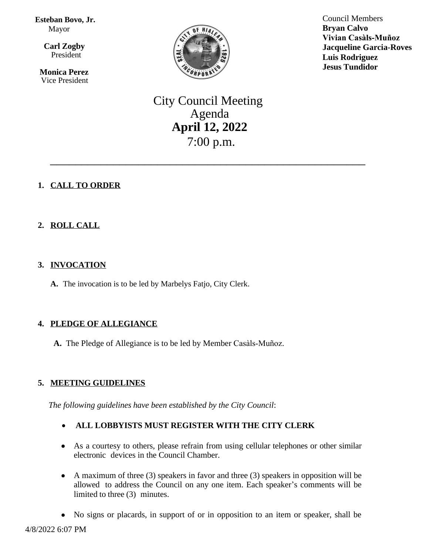**Esteban Bovo, Jr.** Mayor

 $\overline{a}$ **Carl Zogby** President

> **Monica Perez** Vice President



Council Members **Bryan Calvo Vivian Casàls-Muñoz Jacqueline Garcia-Roves Luis Rodriguez Jesus Tundidor**

# City Council Meeting Agenda **April 12, 2022** 7:00 p.m.

\_\_\_\_\_\_\_\_\_\_\_\_\_\_\_\_\_\_\_\_\_\_\_\_\_\_\_\_\_\_\_\_\_\_\_\_\_\_\_\_\_\_\_\_\_\_\_\_\_\_

# **1. CALL TO ORDER**

# **2. ROLL CALL**

# **3. INVOCATION**

**A.** The invocation is to be led by Marbelys Fatjo, City Clerk.

# **4. PLEDGE OF ALLEGIANCE**

**A.** The Pledge of Allegiance is to be led by Member Casàls-Muñoz.

# **5. MEETING GUIDELINES**

*The following guidelines have been established by the City Council*:

# **ALL LOBBYISTS MUST REGISTER WITH THE CITY CLERK**

- As a courtesy to others, please refrain from using cellular telephones or other similar electronic devices in the Council Chamber.
- A maximum of three (3) speakers in favor and three (3) speakers in opposition will be allowed to address the Council on any one item. Each speaker's comments will be limited to three (3) minutes.
- No signs or placards, in support of or in opposition to an item or speaker, shall be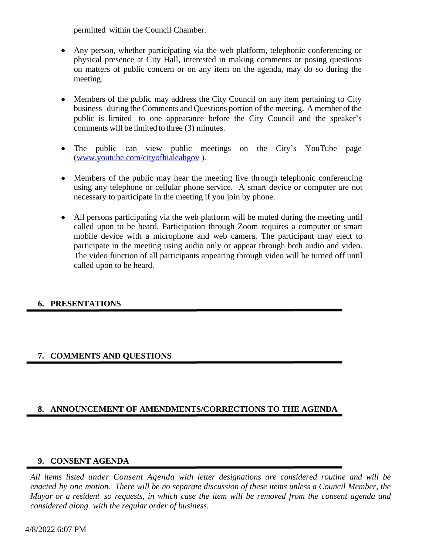permitted within the Council Chamber.

- Any person, whether participating via the web platform, telephonic conferencing or physical presence at City Hall, interested in making comments or posing questions on matters of public concern or on any item on the agenda, may do so during the meeting.
- Members of the public may address the City Council on any item pertaining to City business during the Comments and Questions portion of the meeting. A member of the public is limited to one appearance before the City Council and the speaker's comments will be limited to three (3) minutes.
- The public can view public meetings on the City's YouTube page [\(www.youtube.com/cityofhialeahgov](http://www.youtube.com/cityofhialeahgov) ).
- Members of the public may hear the meeting live through telephonic conferencing using any telephone or cellular phone service. A smart device or computer are not necessary to participate in the meeting if you join by phone.
- All persons participating via the web platform will be muted during the meeting until called upon to be heard. Participation through Zoom requires a computer or smart mobile device with a microphone and web camera. The participant may elect to participate in the meeting using audio only or appear through both audio and video. The video function of all participants appearing through video will be turned off until called upon to be heard.

# **6. PRESENTATIONS**

# **7. COMMENTS AND QUESTIONS**

# **8. ANNOUNCEMENT OF AMENDMENTS/CORRECTIONS TO THE AGENDA**

# **9. CONSENT AGENDA**

*All items listed under Consent Agenda with letter designations are considered routine and will be* enacted by one motion. There will be no separate discussion of these items unless a Council Member, the Mayor or a resident so requests, in which case the item will be removed from the consent agenda and *considered along with the regular order of business.*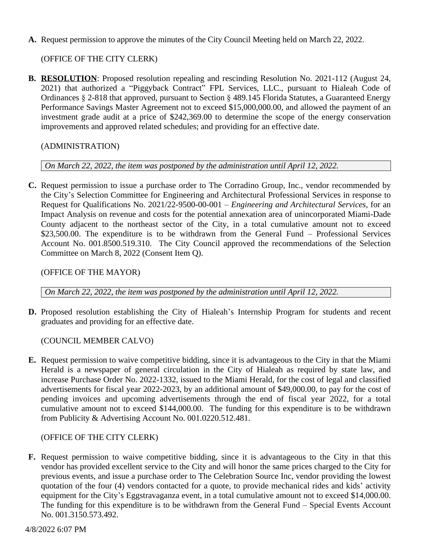**A.** Request permission to approve the minutes of the City Council Meeting held on March 22, 2022.

# (OFFICE OF THE CITY CLERK)

**B. RESOLUTION**: Proposed resolution repealing and rescinding Resolution No. 2021-112 (August 24, 2021) that authorized a "Piggyback Contract" FPL Services, LLC., pursuant to Hialeah Code of Ordinances § 2-818 that approved, pursuant to Section § 489.145 Florida Statutes, a Guaranteed Energy Performance Savings Master Agreement not to exceed \$15,000,000.00, and allowed the payment of an investment grade audit at a price of \$242,369.00 to determine the scope of the energy conservation improvements and approved related schedules; and providing for an effective date.

# (ADMINISTRATION)

#### *On March 22, 2022, the item was postponed by the administration until April 12, 2022.*

**C.** Request permission to issue a purchase order to The Corradino Group, Inc., vendor recommended by the City's Selection Committee for Engineering and Architectural Professional Services in response to Request for Qualifications No. 2021/22-9500-00-001 – *Engineering and Architectural Services*, for an Impact Analysis on revenue and costs for the potential annexation area of unincorporated Miami-Dade County adjacent to the northeast sector of the City, in a total cumulative amount not to exceed \$23,500.00. The expenditure is to be withdrawn from the General Fund – Professional Services Account No. 001.8500.519.310. The City Council approved the recommendations of the Selection Committee on March 8, 2022 (Consent Item Q).

#### (OFFICE OF THE MAYOR)

*On March 22, 2022, the item was postponed by the administration until April 12, 2022.*

**D.** Proposed resolution establishing the City of Hialeah's Internship Program for students and recent graduates and providing for an effective date.

# (COUNCIL MEMBER CALVO)

**E.** Request permission to waive competitive bidding, since it is advantageous to the City in that the Miami Herald is a newspaper of general circulation in the City of Hialeah as required by state law, and increase Purchase Order No. 2022-1332, issued to the Miami Herald, for the cost of legal and classified advertisements for fiscal year 2022-2023, by an additional amount of \$49,000.00, to pay for the cost of pending invoices and upcoming advertisements through the end of fiscal year 2022, for a total cumulative amount not to exceed \$144,000.00. The funding for this expenditure is to be withdrawn from Publicity & Advertising Account No. 001.0220.512.481.

# (OFFICE OF THE CITY CLERK)

**F.** Request permission to waive competitive bidding, since it is advantageous to the City in that this vendor has provided excellent service to the City and will honor the same prices charged to the City for previous events, and issue a purchase order to The Celebration Source Inc, vendor providing the lowest quotation of the four (4) vendors contacted for a quote, to provide mechanical rides and kids' activity equipment for the City's Eggstravaganza event, in a total cumulative amount not to exceed \$14,000.00. The funding for this expenditure is to be withdrawn from the General Fund – Special Events Account No. 001.3150.573.492.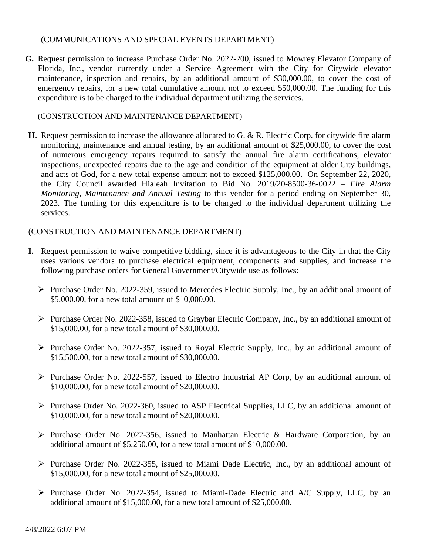#### (COMMUNICATIONS AND SPECIAL EVENTS DEPARTMENT)

**G.** Request permission to increase Purchase Order No. 2022-200, issued to Mowrey Elevator Company of Florida, Inc., vendor currently under a Service Agreement with the City for Citywide elevator maintenance, inspection and repairs, by an additional amount of \$30,000.00, to cover the cost of emergency repairs, for a new total cumulative amount not to exceed \$50,000.00. The funding for this expenditure is to be charged to the individual department utilizing the services.

#### (CONSTRUCTION AND MAINTENANCE DEPARTMENT)

**H.** Request permission to increase the allowance allocated to G. & R. Electric Corp. for citywide fire alarm monitoring, maintenance and annual testing, by an additional amount of \$25,000.00, to cover the cost of numerous emergency repairs required to satisfy the annual fire alarm certifications, elevator inspections, unexpected repairs due to the age and condition of the equipment at older City buildings, and acts of God, for a new total expense amount not to exceed \$125,000.00. On September 22, 2020, the City Council awarded Hialeah Invitation to Bid No. 2019/20-8500-36-0022 – *Fire Alarm Monitoring, Maintenance and Annual Testing* to this vendor for a period ending on September 30, 2023. The funding for this expenditure is to be charged to the individual department utilizing the services.

# (CONSTRUCTION AND MAINTENANCE DEPARTMENT)

- **I.** Request permission to waive competitive bidding, since it is advantageous to the City in that the City uses various vendors to purchase electrical equipment, components and supplies, and increase the following purchase orders for General Government/Citywide use as follows:
	- Purchase Order No. 2022-359, issued to Mercedes Electric Supply, Inc., by an additional amount of \$5,000.00, for a new total amount of \$10,000.00.
	- $\triangleright$  Purchase Order No. 2022-358, issued to Graybar Electric Company, Inc., by an additional amount of \$15,000.00, for a new total amount of \$30,000.00.
	- $\triangleright$  Purchase Order No. 2022-357, issued to Royal Electric Supply, Inc., by an additional amount of \$15,500.00, for a new total amount of \$30,000.00.
	- $\triangleright$  Purchase Order No. 2022-557, issued to Electro Industrial AP Corp, by an additional amount of \$10,000.00, for a new total amount of \$20,000.00.
	- $\triangleright$  Purchase Order No. 2022-360, issued to ASP Electrical Supplies, LLC, by an additional amount of \$10,000.00, for a new total amount of \$20,000.00.
	- $\triangleright$  Purchase Order No. 2022-356, issued to Manhattan Electric & Hardware Corporation, by an additional amount of \$5,250.00, for a new total amount of \$10,000.00.
	- $\triangleright$  Purchase Order No. 2022-355, issued to Miami Dade Electric, Inc., by an additional amount of \$15,000.00, for a new total amount of \$25,000.00.
	- $\triangleright$  Purchase Order No. 2022-354, issued to Miami-Dade Electric and A/C Supply, LLC, by an additional amount of \$15,000.00, for a new total amount of \$25,000.00.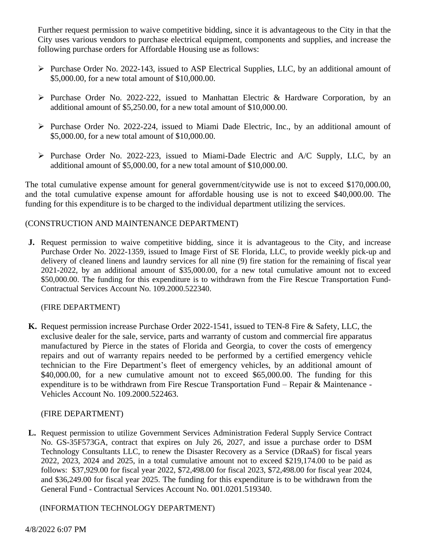Further request permission to waive competitive bidding, since it is advantageous to the City in that the City uses various vendors to purchase electrical equipment, components and supplies, and increase the following purchase orders for Affordable Housing use as follows:

- $\triangleright$  Purchase Order No. 2022-143, issued to ASP Electrical Supplies, LLC, by an additional amount of \$5,000.00, for a new total amount of \$10,000.00.
- $\triangleright$  Purchase Order No. 2022-222, issued to Manhattan Electric & Hardware Corporation, by an additional amount of \$5,250.00, for a new total amount of \$10,000.00.
- $\triangleright$  Purchase Order No. 2022-224, issued to Miami Dade Electric, Inc., by an additional amount of \$5,000.00, for a new total amount of \$10,000.00.
- $\triangleright$  Purchase Order No. 2022-223, issued to Miami-Dade Electric and A/C Supply, LLC, by an additional amount of \$5,000.00, for a new total amount of \$10,000.00.

The total cumulative expense amount for general government/citywide use is not to exceed \$170,000.00, and the total cumulative expense amount for affordable housing use is not to exceed \$40,000.00. The funding for this expenditure is to be charged to the individual department utilizing the services.

### (CONSTRUCTION AND MAINTENANCE DEPARTMENT)

**J.** Request permission to waive competitive bidding, since it is advantageous to the City, and increase Purchase Order No. 2022-1359, issued to Image First of SE Florida, LLC, to provide weekly pick-up and delivery of cleaned linens and laundry services for all nine (9) fire station for the remaining of fiscal year 2021-2022, by an additional amount of \$35,000.00, for a new total cumulative amount not to exceed \$50,000.00. The funding for this expenditure is to withdrawn from the Fire Rescue Transportation Fund-Contractual Services Account No. 109.2000.522340.

#### (FIRE DEPARTMENT)

**K.** Request permission increase Purchase Order 2022-1541, issued to TEN-8 Fire & Safety, LLC, the exclusive dealer for the sale, service, parts and warranty of custom and commercial fire apparatus manufactured by Pierce in the states of Florida and Georgia, to cover the costs of emergency repairs and out of warranty repairs needed to be performed by a certified emergency vehicle technician to the Fire Department's fleet of emergency vehicles, by an additional amount of \$40,000.00, for a new cumulative amount not to exceed \$65,000.00. The funding for this expenditure is to be withdrawn from Fire Rescue Transportation Fund – Repair & Maintenance - Vehicles Account No. 109.2000.522463.

#### (FIRE DEPARTMENT)

**L.** Request permission to utilize Government Services Administration Federal Supply Service Contract No. GS-35F573GA, contract that expires on July 26, 2027, and issue a purchase order to DSM Technology Consultants LLC, to renew the Disaster Recovery as a Service (DRaaS) for fiscal years 2022, 2023, 2024 and 2025, in a total cumulative amount not to exceed \$219,174.00 to be paid as follows: \$37,929.00 for fiscal year 2022, \$72,498.00 for fiscal 2023, \$72,498.00 for fiscal year 2024, and \$36,249.00 for fiscal year 2025. The funding for this expenditure is to be withdrawn from the General Fund - Contractual Services Account No. 001.0201.519340.

(INFORMATION TECHNOLOGY DEPARTMENT)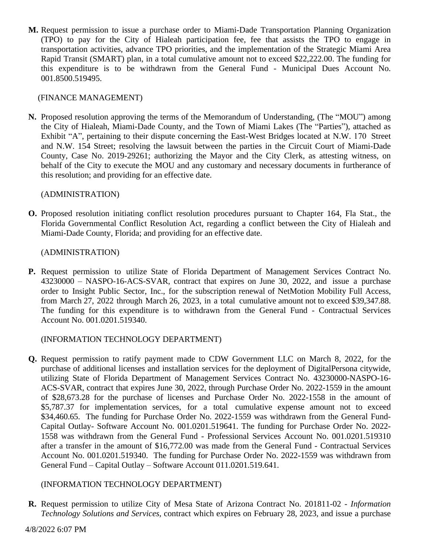**M.** Request permission to issue a purchase order to Miami-Dade Transportation Planning Organization (TPO) to pay for the City of Hialeah participation fee, fee that assists the TPO to engage in transportation activities, advance TPO priorities, and the implementation of the Strategic Miami Area Rapid Transit (SMART) plan, in a total cumulative amount not to exceed \$22,222.00. The funding for this expenditure is to be withdrawn from the General Fund - Municipal Dues Account No. 001.8500.519495.

### (FINANCE MANAGEMENT)

**N.** Proposed resolution approving the terms of the Memorandum of Understanding, (The "MOU") among the City of Hialeah, Miami-Dade County, and the Town of Miami Lakes (The "Parties"), attached as Exhibit "A", pertaining to their dispute concerning the East-West Bridges located at N.W. 170 Street and N.W. 154 Street; resolving the lawsuit between the parties in the Circuit Court of Miami-Dade County, Case No. 2019-29261; authorizing the Mayor and the City Clerk, as attesting witness, on behalf of the City to execute the MOU and any customary and necessary documents in furtherance of this resolution; and providing for an effective date.

### (ADMINISTRATION)

**O.** Proposed resolution initiating conflict resolution procedures pursuant to Chapter 164, Fla Stat., the Florida Governmental Conflict Resolution Act, regarding a conflict between the City of Hialeah and Miami-Dade County, Florida; and providing for an effective date.

### (ADMINISTRATION)

**P.** Request permission to utilize State of Florida Department of Management Services Contract No. 43230000 – NASPO-16-ACS-SVAR, contract that expires on June 30, 2022, and issue a purchase order to Insight Public Sector, Inc., for the subscription renewal of NetMotion Mobility Full Access, from March 27, 2022 through March 26, 2023, in a total cumulative amount not to exceed \$39,347.88. The funding for this expenditure is to withdrawn from the General Fund - Contractual Services Account No. 001.0201.519340.

#### (INFORMATION TECHNOLOGY DEPARTMENT)

**Q.** Request permission to ratify payment made to CDW Government LLC on March 8, 2022, for the purchase of additional licenses and installation services for the deployment of DigitalPersona citywide, utilizing State of Florida Department of Management Services Contract No. 43230000-NASPO-16- ACS-SVAR, contract that expires June 30, 2022, through Purchase Order No. 2022-1559 in the amount of \$28,673.28 for the purchase of licenses and Purchase Order No. 2022-1558 in the amount of \$5,787.37 for implementation services, for a total cumulative expense amount not to exceed \$34,460.65. The funding for Purchase Order No. 2022-1559 was withdrawn from the General Fund-Capital Outlay- Software Account No. 001.0201.519641. The funding for Purchase Order No. 2022- 1558 was withdrawn from the General Fund - Professional Services Account No. 001.0201.519310 after a transfer in the amount of \$16,772.00 was made from the General Fund - Contractual Services Account No. 001.0201.519340. The funding for Purchase Order No. 2022-1559 was withdrawn from General Fund – Capital Outlay – Software Account 011.0201.519.641.

# (INFORMATION TECHNOLOGY DEPARTMENT)

**R.** Request permission to utilize City of Mesa State of Arizona Contract No. 201811-02 - *Information Technology Solutions and Services,* contract which expires on February 28, 2023, and issue a purchase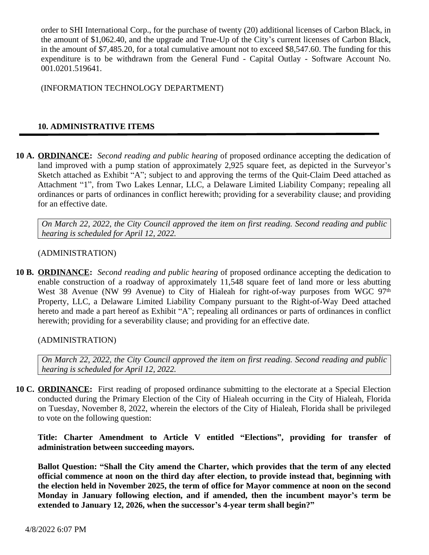order to SHI International Corp., for the purchase of twenty (20) additional licenses of Carbon Black, in the amount of \$1,062.40, and the upgrade and True-Up of the City's current licenses of Carbon Black, in the amount of \$7,485.20, for a total cumulative amount not to exceed \$8,547.60. The funding for this expenditure is to be withdrawn from the General Fund - Capital Outlay - Software Account No. 001.0201.519641.

(INFORMATION TECHNOLOGY DEPARTMENT)

# **10. ADMINISTRATIVE ITEMS**

**10 A. ORDINANCE:** *Second reading and public hearing* of proposed ordinance accepting the dedication of land improved with a pump station of approximately 2,925 square feet, as depicted in the Surveyor's Sketch attached as Exhibit "A"; subject to and approving the terms of the Quit-Claim Deed attached as Attachment "1", from Two Lakes Lennar, LLC, a Delaware Limited Liability Company; repealing all ordinances or parts of ordinances in conflict herewith; providing for a severability clause; and providing for an effective date.

*On March 22, 2022, the City Council approved the item on first reading. Second reading and public hearing is scheduled for April 12, 2022.* 

#### (ADMINISTRATION)

**10 B. ORDINANCE:** *Second reading and public hearing* of proposed ordinance accepting the dedication to enable construction of a roadway of approximately 11,548 square feet of land more or less abutting West 38 Avenue (NW 99 Avenue) to City of Hialeah for right-of-way purposes from WGC 97<sup>th</sup> Property, LLC, a Delaware Limited Liability Company pursuant to the Right-of-Way Deed attached hereto and made a part hereof as Exhibit "A"; repealing all ordinances or parts of ordinances in conflict herewith; providing for a severability clause; and providing for an effective date.

(ADMINISTRATION)

*On March 22, 2022, the City Council approved the item on first reading. Second reading and public hearing is scheduled for April 12, 2022.* 

**10 C. ORDINANCE:** First reading of proposed ordinance submitting to the electorate at a Special Election conducted during the Primary Election of the City of Hialeah occurring in the City of Hialeah, Florida on Tuesday, November 8, 2022, wherein the electors of the City of Hialeah, Florida shall be privileged to vote on the following question:

**Title: Charter Amendment to Article V entitled "Elections" , providing for transfer of administration between succeeding mayors.**

**Ballot Question: "Shall the City amend the Charter, which provides that the term of any elected official commence at noon on the third day after election, to provide instead that, beginning with the election held in November 2025, the term of office for Mayor commence at noon on the second Monday in January following election, and if amended, then the incumbent mayor's term be extended to January 12, 2026, when the successor's 4-year term shall begin?"**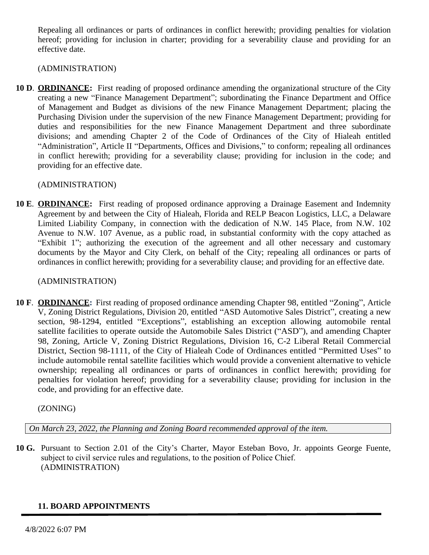Repealing all ordinances or parts of ordinances in conflict herewith; providing penalties for violation hereof; providing for inclusion in charter; providing for a severability clause and providing for an effective date.

(ADMINISTRATION)

**10 D**. **ORDINANCE:** First reading of proposed ordinance amending the organizational structure of the City creating a new "Finance Management Department"; subordinating the Finance Department and Office of Management and Budget as divisions of the new Finance Management Department; placing the Purchasing Division under the supervision of the new Finance Management Department; providing for duties and responsibilities for the new Finance Management Department and three subordinate divisions; and amending Chapter 2 of the Code of Ordinances of the City of Hialeah entitled "Administration", Article II "Departments, Offices and Divisions," to conform; repealing all ordinances in conflict herewith; providing for a severability clause; providing for inclusion in the code; and providing for an effective date.

(ADMINISTRATION)

**10 E**. **ORDINANCE:** First reading of proposed ordinance approving a Drainage Easement and Indemnity Agreement by and between the City of Hialeah, Florida and RELP Beacon Logistics, LLC, a Delaware Limited Liability Company, in connection with the dedication of N.W. 145 Place, from N.W. 102 Avenue to N.W. 107 Avenue, as a public road, in substantial conformity with the copy attached as "Exhibit 1"; authorizing the execution of the agreement and all other necessary and customary documents by the Mayor and City Clerk, on behalf of the City; repealing all ordinances or parts of ordinances in conflict herewith; providing for a severability clause; and providing for an effective date.

(ADMINISTRATION)

**10 F**. **ORDINANCE:** First reading of proposed ordinance amending Chapter 98, entitled "Zoning", Article V, Zoning District Regulations, Division 20, entitled "ASD Automotive Sales District", creating a new section, 98-1294, entitled "Exceptions", establishing an exception allowing automobile rental satellite facilities to operate outside the Automobile Sales District ("ASD"), and amending Chapter 98, Zoning, Article V, Zoning District Regulations, Division 16, C-2 Liberal Retail Commercial District, Section 98-1111, of the City of Hialeah Code of Ordinances entitled "Permitted Uses" to include automobile rental satellite facilities which would provide a convenient alternative to vehicle ownership; repealing all ordinances or parts of ordinances in conflict herewith; providing for penalties for violation hereof; providing for a severability clause; providing for inclusion in the code, and providing for an effective date.

(ZONING)

*On March 23, 2022, the Planning and Zoning Board recommended approval of the item.*

**10 G.** Pursuant to Section 2.01 of the City's Charter, Mayor Esteban Bovo, Jr. appoints George Fuente, subject to civil service rules and regulations, to the position of Police Chief. (ADMINISTRATION)

# **11. BOARD APPOINTMENTS**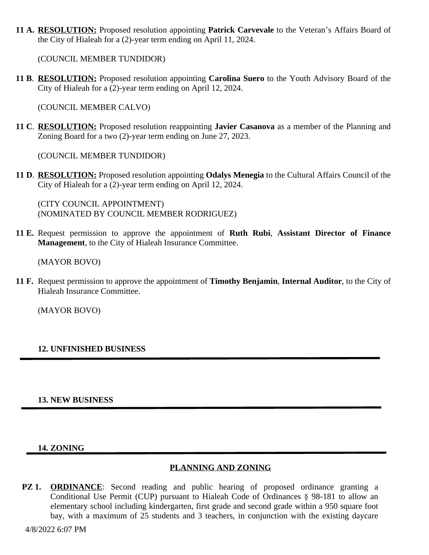**11 A. RESOLUTION:** Proposed resolution appointing **Patrick Carvevale** to the Veteran's Affairs Board of the City of Hialeah for a (2)-year term ending on April 11, 2024.

(COUNCIL MEMBER TUNDIDOR)

**11 B**. **RESOLUTION:** Proposed resolution appointing **Carolina Suero** to the Youth Advisory Board of the City of Hialeah for a (2)-year term ending on April 12, 2024.

(COUNCIL MEMBER CALVO)

**11 C**. **RESOLUTION:** Proposed resolution reappointing **Javier Casanova** as a member of the Planning and Zoning Board for a two (2)-year term ending on June 27, 2023.

(COUNCIL MEMBER TUNDIDOR)

**11 D**. **RESOLUTION:** Proposed resolution appointing **Odalys Menegia** to the Cultural Affairs Council of the City of Hialeah for a (2)-year term ending on April 12, 2024.

(CITY COUNCIL APPOINTMENT) (NOMINATED BY COUNCIL MEMBER RODRIGUEZ)

**11 E.** Request permission to approve the appointment of **Ruth Rubi**, **Assistant Director of Finance Management**, to the City of Hialeah Insurance Committee.

(MAYOR BOVO)

**11 F.** Request permission to approve the appointment of **Timothy Benjamin**, **Internal Auditor**, to the City of Hialeah Insurance Committee.

(MAYOR BOVO)

# **12. UNFINISHED BUSINESS**

#### **13. NEW BUSINESS**

#### **14. ZONING**

# **PLANNING AND ZONING**

**PZ 1. ORDINANCE**: Second reading and public hearing of proposed ordinance granting a Conditional Use Permit (CUP) pursuant to Hialeah Code of Ordinances § 98-181 to allow an elementary school including kindergarten, first grade and second grade within a 950 square foot bay, with a maximum of 25 students and 3 teachers, in conjunction with the existing daycare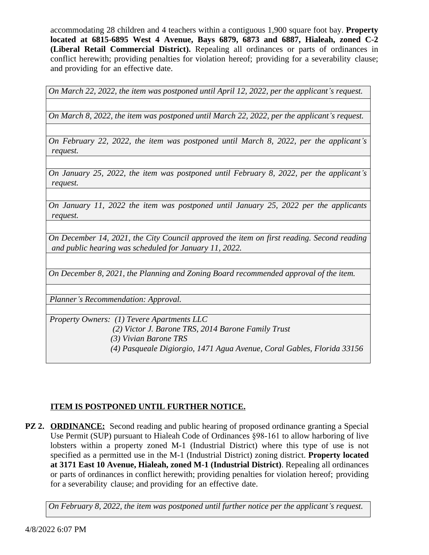accommodating 28 children and 4 teachers within a contiguous 1,900 square foot bay. **Property located at 6815-6895 West 4 Avenue, Bays 6879, 6873 and 6887, Hialeah, zoned C-2 (Liberal Retail Commercial District).** Repealing all ordinances or parts of ordinances in conflict herewith; providing penalties for violation hereof; providing for a severability clause; and providing for an effective date.

*On March 22, 2022, the item was postponed until April 12, 2022, per the applicant's request.* 

*On March 8, 2022, the item was postponed until March 22, 2022, per the applicant's request.*

*On February 22, 2022, the item was postponed until March 8, 2022, per the applicant's request.* 

*On January 25, 2022, the item was postponed until February 8, 2022, per the applicant's request.*

*On January 11, 2022 the item was postponed until January 25, 2022 per the applicants request.*

*On December 14, 2021, the City Council approved the item on first reading. Second reading and public hearing was scheduled for January 11, 2022.*

*On December 8, 2021, the Planning and Zoning Board recommended approval of the item.*

*Planner's Recommendation: Approval.*

*Property Owners: (1) Tevere Apartments LLC*

 *(2) Victor J. Barone TRS, 2014 Barone Family Trust*

 *(3) Vivian Barone TRS*

 *(4) Pasqueale Digiorgio, 1471 Agua Avenue, Coral Gables, Florida 33156*

# **ITEM IS POSTPONED UNTIL FURTHER NOTICE.**

**PZ 2. ORDINANCE:** Second reading and public hearing of proposed ordinance granting a Special Use Permit (SUP) pursuant to Hialeah Code of Ordinances §98-161 to allow harboring of live lobsters within a property zoned M-1 (Industrial District) where this type of use is not specified as a permitted use in the M-1 (Industrial District) zoning district. **Property located at 3171 East 10 Avenue, Hialeah, zoned M-1 (Industrial District)**. Repealing all ordinances or parts of ordinances in conflict herewith; providing penalties for violation hereof; providing for a severability clause; and providing for an effective date.

*On February 8, 2022, the item was postponed until further notice per the applicant's request.*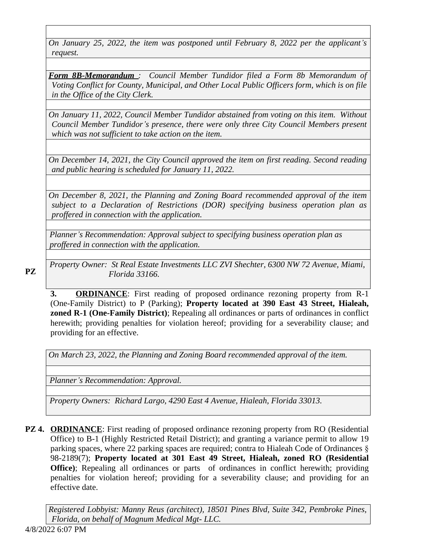*On January 25, 2022, the item was postponed until February 8, 2022 per the applicant's request.*

*Form 8B-Memorandum : Council Member Tundidor filed a Form 8b Memorandum of Voting Conflict for County, Municipal, and Other Local Public Officers form, which is on file in the Office of the City Clerk.*

*On January 11, 2022, Council Member Tundidor abstained from voting on this item. Without Council Member Tundidor's presence, there were only three City Council Members present which was not sufficient to take action on the item.*

*On December 14, 2021, the City Council approved the item on first reading. Second reading and public hearing is scheduled for January 11, 2022.*

*On December 8, 2021, the Planning and Zoning Board recommended approval of the item subject to a Declaration of Restrictions (DOR) specifying business operation plan as proffered in connection with the application.*

*Planner's Recommendation: Approval subject to specifying business operation plan as proffered in connection with the application.*

*Property Owner: St Real Estate Investments LLC ZVI Shechter, 6300 NW 72 Avenue, Miami,* **PZ** *Florida 33166.*

**3. ORDINANCE**: First reading of proposed ordinance rezoning property from R-1 (One-Family District) to P (Parking); **Property located at 390 East 43 Street, Hialeah, zoned R-1 (One-Family District)**; Repealing all ordinances or parts of ordinances in conflict herewith; providing penalties for violation hereof; providing for a severability clause; and providing for an effective.

*On March 23, 2022, the Planning and Zoning Board recommended approval of the item.*

*Planner's Recommendation: Approval.*

*Property Owners: Richard Largo, 4290 East 4 Avenue, Hialeah, Florida 33013.*

**PZ 4. ORDINANCE:** First reading of proposed ordinance rezoning property from RO (Residential Office) to B-1 (Highly Restricted Retail District); and granting a variance permit to allow 19 parking spaces, where 22 parking spaces are required; contra to Hialeah Code of Ordinances § 98-2189(7); **Property located at 301 East 49 Street, Hialeah, zoned RO (Residential Office**); Repealing all ordinances or parts of ordinances in conflict herewith; providing penalties for violation hereof; providing for a severability clause; and providing for an effective date.

*Registered Lobbyist: Manny Reus (architect), 18501 Pines Blvd, Suite 342, Pembroke Pines, Florida, on behalf of Magnum Medical Mgt- LLC.*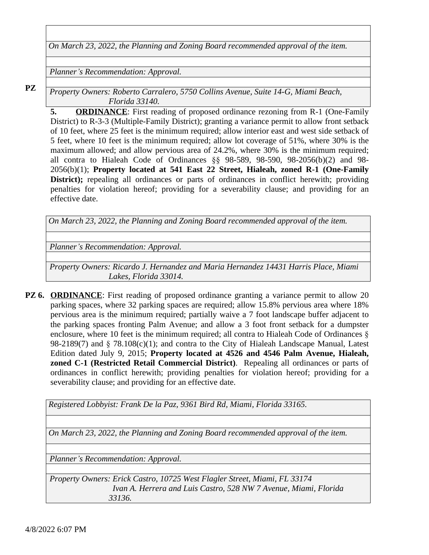*On March 23, 2022, the Planning and Zoning Board recommended approval of the item.*

*Planner's Recommendation: Approval.*

**PZ**

*Property Owners: Roberto Carralero, 5750 Collins Avenue, Suite 14-G, Miami Beach, Florida 33140.*

**5. ORDINANCE**: First reading of proposed ordinance rezoning from R-1 (One-Family District) to R-3-3 (Multiple-Family District); granting a variance permit to allow front setback of 10 feet, where 25 feet is the minimum required; allow interior east and west side setback of 5 feet, where 10 feet is the minimum required; allow lot coverage of 51%, where 30% is the maximum allowed; and allow pervious area of 24.2%, where 30% is the minimum required; all contra to Hialeah Code of Ordinances §§ 98-589, 98-590, 98-2056(b)(2) and 98- 2056(b)(1); **Property located at 541 East 22 Street, Hialeah, zoned R-1 (One-Family District);** repealing all ordinances or parts of ordinances in conflict herewith; providing penalties for violation hereof; providing for a severability clause; and providing for an effective date.

*On March 23, 2022, the Planning and Zoning Board recommended approval of the item.*

*Planner's Recommendation: Approval.*

*Property Owners: Ricardo J. Hernandez and Maria Hernandez 14431 Harris Place, Miami Lakes, Florida 33014.*

**PZ 6. ORDINANCE:** First reading of proposed ordinance granting a variance permit to allow 20 parking spaces, where 32 parking spaces are required; allow 15.8% pervious area where 18% pervious area is the minimum required; partially waive a 7 foot landscape buffer adjacent to the parking spaces fronting Palm Avenue; and allow a 3 foot front setback for a dumpster enclosure, where 10 feet is the minimum required; all contra to Hialeah Code of Ordinances § 98-2189(7) and  $\S$  78.108(c)(1); and contra to the City of Hialeah Landscape Manual, Latest Edition dated July 9, 2015; **Property located at 4526 and 4546 Palm Avenue, Hialeah, zoned C-1 (Restricted Retail Commercial District)**. Repealing all ordinances or parts of ordinances in conflict herewith; providing penalties for violation hereof; providing for a severability clause; and providing for an effective date.

*Registered Lobbyist: Frank De la Paz, 9361 Bird Rd, Miami, Florida 33165.*

*On March 23, 2022, the Planning and Zoning Board recommended approval of the item.*

*Planner's Recommendation: Approval.*

*Property Owners: Erick Castro, 10725 West Flagler Street, Miami, FL 33174 Ivan A. Herrera and Luis Castro, 528 NW 7 Avenue, Miami, Florida 33136.*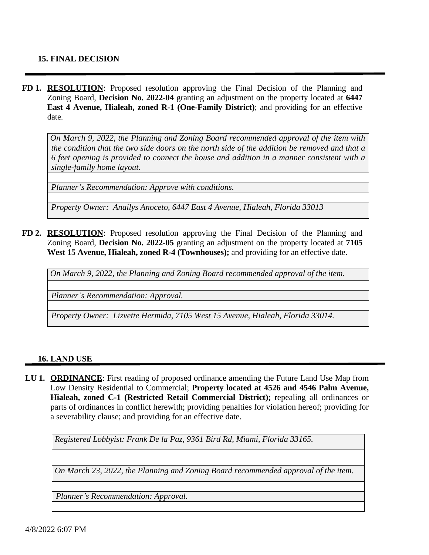### **15. FINAL DECISION**

**FD 1. RESOLUTION**: Proposed resolution approving the Final Decision of the Planning and Zoning Board, **Decision No. 2022-04** granting an adjustment on the property located at **6447 East 4 Avenue, Hialeah, zoned R-1 (One-Family District)**; and providing for an effective date.

*On March 9, 2022, the Planning and Zoning Board recommended approval of the item with* the condition that the two side doors on the north side of the addition be removed and that a *6 feet opening is provided to connect the house and addition in a manner consistent with a single-family home layout.*

*Planner's Recommendation: Approve with conditions.*

*Property Owner: Anailys Anoceto, 6447 East 4 Avenue, Hialeah, Florida 33013*

**FD 2. RESOLUTION**: Proposed resolution approving the Final Decision of the Planning and Zoning Board, **Decision No. 2022-05** granting an adjustment on the property located at **7105 West 15 Avenue, Hialeah, zoned R-4 (Townhouses);** and providing for an effective date.

*On March 9, 2022, the Planning and Zoning Board recommended approval of the item.*

*Planner's Recommendation: Approval.*

*Property Owner: Lizvette Hermida, 7105 West 15 Avenue, Hialeah, Florida 33014.*

#### **16. LAND USE**

**LU 1. ORDINANCE**: First reading of proposed ordinance amending the Future Land Use Map from Low Density Residential to Commercial; **Property located at 4526 and 4546 Palm Avenue, Hialeah, zoned C-1 (Restricted Retail Commercial District);** repealing all ordinances or parts of ordinances in conflict herewith; providing penalties for violation hereof; providing for a severability clause; and providing for an effective date.

*Registered Lobbyist: Frank De la Paz, 9361 Bird Rd, Miami, Florida 33165.*

*On March 23, 2022, the Planning and Zoning Board recommended approval of the item.*

*Planner's Recommendation: Approval.*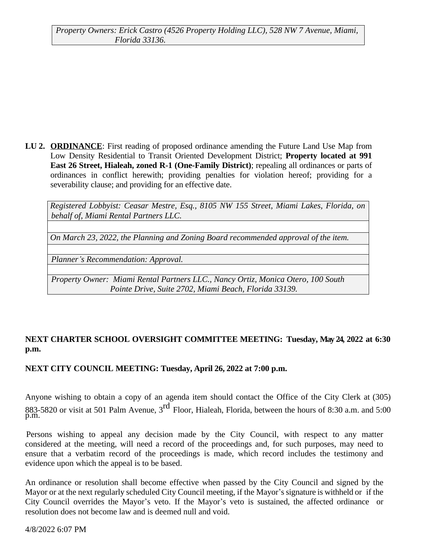**LU 2. ORDINANCE**: First reading of proposed ordinance amending the Future Land Use Map from Low Density Residential to Transit Oriented Development District; **Property located at 991 East 26 Street, Hialeah, zoned R-1 (One-Family District)**; repealing all ordinances or parts of ordinances in conflict herewith; providing penalties for violation hereof; providing for a severability clause; and providing for an effective date.

*Registered Lobbyist: Ceasar Mestre, Esq., 8105 NW 155 Street, Miami Lakes, Florida, on behalf of, Miami Rental Partners LLC.*

*On March 23, 2022, the Planning and Zoning Board recommended approval of the item.*

*Planner's Recommendation: Approval.*

*Property Owner: Miami Rental Partners LLC., Nancy Ortiz, Monica Otero, 100 South Pointe Drive, Suite 2702, Miami Beach, Florida 33139.*

# **NEXT CHARTER SCHOOL OVERSIGHT COMMITTEE MEETING: Tuesday, May 24, 2022 at 6:30 p.m.**

# **NEXT CITY COUNCIL MEETING: Tuesday, April 26, 2022 at 7:00 p.m.**

Anyone wishing to obtain a copy of an agenda item should contact the Office of the City Clerk at (305) 883-5820 or visit at 501 Palm Avenue,  $3^{\text{rd}}$  Floor, Hialeah, Florida, between the hours of 8:30 a.m. and 5:00 p.m.

Persons wishing to appeal any decision made by the City Council, with respect to any matter considered at the meeting, will need a record of the proceedings and, for such purposes, may need to ensure that a verbatim record of the proceedings is made, which record includes the testimony and evidence upon which the appeal is to be based.

An ordinance or resolution shall become effective when passed by the City Council and signed by the Mayor or at the next regularly scheduled City Council meeting, if the Mayor's signature is withheld or if the City Council overrides the Mayor's veto. If the Mayor's veto is sustained, the affected ordinance or resolution does not become law and is deemed null and void.